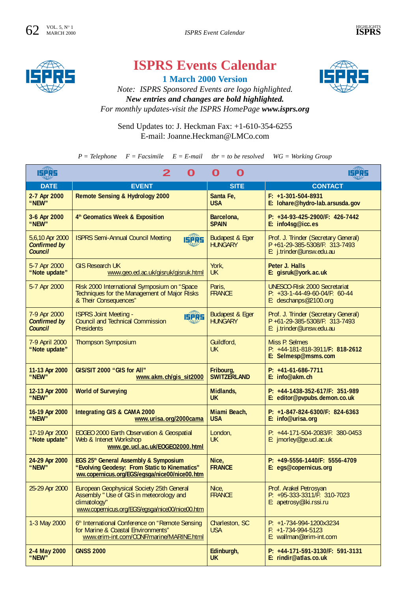

## **ISPRS Events Calendar**

**1 March 2000 Version**



*Note: ISPRS Sponsored Events are logo highlighted. New entries and changes are bold highlighted. For monthly updates-visit the ISPRS HomePage www.isprs.org*

Send Updates to: J. Heckman Fax: +1-610-354-6255 E-mail: Joanne.Heckman@LMCo.com

 $P = Telephone$   $F = Facsimile$   $E = E-mail$   $tbr = to be resolved$   $WG = Working Group$ 

| <b>ISPRS</b>                                             | 2<br>O                                                                                                                                                         | O<br>O                                       | 15PR5                                                                                             |
|----------------------------------------------------------|----------------------------------------------------------------------------------------------------------------------------------------------------------------|----------------------------------------------|---------------------------------------------------------------------------------------------------|
| <b>DATE</b>                                              | <b>EVENT</b>                                                                                                                                                   | <b>SITE</b>                                  | <b>CONTACT</b>                                                                                    |
| 2-7 Apr 2000<br>"NEW"                                    | Remote Sensing & Hydrology 2000                                                                                                                                | Santa Fe,<br><b>USA</b>                      | $F: +1-301-504-8931$<br>E: lohare@hydro-lab.arsusda.gov                                           |
| 3-6 Apr 2000<br>"NEW"                                    | 4 <sup>th</sup> Geomatics Week & Exposition                                                                                                                    | Barcelona,<br><b>SPAIN</b>                   | P: +34-93-425-2900/F: 426-7442<br>E: info4sg@icc.es                                               |
| 5,6,10 Apr 2000<br><b>Confirmed by</b><br><b>Council</b> | <b>ISPRS Semi-Annual Council Meeting</b><br><b>ISPRS</b>                                                                                                       | <b>Budapest &amp; Eger</b><br><b>HUNGARY</b> | Prof. J. Trinder (Secretary General)<br>P +61-29-385-5308/F: 313-7493<br>E: j.trinder@unsw.edu.au |
| 5-7 Apr 2000<br>"Note update"                            | <b>GIS Research UK</b><br>www.geo.ed.ac.uk/gisruk/gisruk.html                                                                                                  | York,<br><b>UK</b>                           | Peter J. Halls<br>E: gisruk@york.ac.uk                                                            |
| 5-7 Apr 2000                                             | Risk 2000 International Symposium on "Space<br>Techniques for the Management of Major Risks<br>& Their Consequences"                                           | Paris.<br><b>FRANCE</b>                      | <b>UNESCO-Risk 2000 Secretariat</b><br>$P: +33-1-44-49-60-04/F: 60-44$<br>E: deschanps@2100.org   |
| 7-9 Apr 2000<br><b>Confirmed by</b><br><b>Council</b>    | <b>ISPRS Joint Meeting -</b><br><b>ISPRS</b><br><b>Council and Technical Commission</b><br><b>Presidents</b>                                                   | <b>Budapest &amp; Eger</b><br><b>HUNGARY</b> | Prof. J. Trinder (Secretary General)<br>P +61-29-385-5308/F: 313-7493<br>E: j.trinder@unsw.edu.au |
| 7-9 April 2000<br>"Note update"                          | <b>Thompson Symposium</b>                                                                                                                                      | Guildford,<br><b>UK</b>                      | Miss P. Selmes<br>P: +44-181-818-3911/F: 818-2612<br>E: Selmesp@msms.com                          |
| 11-13 Apr 2000<br>"NEW"                                  | GIS/SIT 2000 "GIS for All"<br>www.akm.ch/gis_sit2000                                                                                                           | Fribourg,<br><b>SWITZERLAND</b>              | $P: +41-61-686-7711$<br>E: info@akm.ch                                                            |
| 12-13 Apr 2000<br>"NEW"                                  | <b>World of Surveying</b>                                                                                                                                      | Midlands.<br><b>UK</b>                       | P: +44-1438-352-617/F: 351-989<br>E: editor@pvpubs.demon.co.uk                                    |
| 16-19 Apr 2000<br>"NEW"                                  | Integrating GIS & CAMA 2000<br>www.urisa.org/2000cama                                                                                                          | Miami Beach,<br><b>USA</b>                   | P: +1-847-824-6300/F: 824-6363<br>E: info@urisa.org                                               |
| 17-19 Apr 2000<br>"Note update"                          | <b>EOGEO 2000 Earth Observation &amp; Geospatial</b><br>Web & Intenet Workshop<br>www.ge.ucl.ac.uk/EOGE02000.html                                              | London,<br><b>UK</b>                         | P: +44-171-504-2083/F: 380-0453<br>E: jmorley@ge.ucl.ac.uk                                        |
| 24-29 Apr 2000<br>"NEW"                                  | EGS 25 <sup>th</sup> General Assembly & Symposium<br>"Evolving Geodesy: From Static to Kinematics"<br>ww.copernicus.org/EGS/egsga/nice00/nice00.htm            | Nice,<br><b>FRANCE</b>                       | P: +49-5556-1440/F: 5556-4709<br>E: egs@copernicus.org                                            |
| 25-29 Apr 2000                                           | <b>European Geophysical Society 25th General</b><br>Assembly " Use of GIS in meteorology and<br>climatology"<br>www.copernicus.org/EGS/egsga/nice00/nice00.htm | Nice,<br><b>FRANCE</b>                       | Prof. Arakel Petrosyan<br>P: +95-333-3311/F: 310-7023<br>E: apetrosy@iki.rssi.ru                  |
| 1-3 May 2000                                             | 6th International Conference on "Remote Sensing"<br>for Marine & Coastal Environments"<br>www.erim-int.com/CONF/marine/MARINE.html                             | Charleston, SC<br><b>USA</b>                 | $P: +1-734-994-1200x3234$<br>$F: +1-734-994-5123$<br>E: wallman@erim-int.com                      |
| 2-4 May 2000<br>"NEW"                                    | <b>GNSS 2000</b>                                                                                                                                               | Edinburgh,<br><b>UK</b>                      | P: +44-171-591-3130/F: 591-3131<br>E: rindir@atlas.co.uk                                          |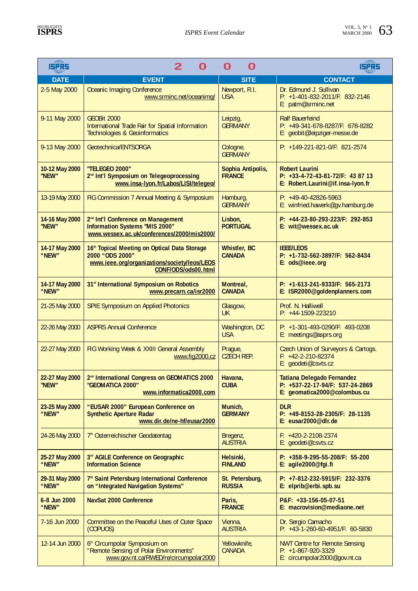| 478.<br><b>ISPRS</b>    | 2<br>O                                                                                                                                             | O<br>O                               | 15265                                                                                           |
|-------------------------|----------------------------------------------------------------------------------------------------------------------------------------------------|--------------------------------------|-------------------------------------------------------------------------------------------------|
| <b>DATE</b>             | <b>EVENT</b>                                                                                                                                       | <b>SITE</b>                          | <b>CONTACT</b>                                                                                  |
| 2-5 May 2000            | <b>Oceanic Imaging Conference</b><br>www.srminc.net/oceanimg/                                                                                      | Newport, R.I.<br><b>USA</b>          | Dr. Edmund J. Sullivan<br>P: +1-401-832-2011/F: 832-2146<br>E: patm@srminc.net                  |
| 9-11 May 2000           | GEOBit 2000<br>International Trade Fair for Spatial Information<br><b>Technologies &amp; Geoinformatics</b>                                        | Leipzig,<br><b>GERMANY</b>           | <b>Ralf Bauerfeind</b><br>P: +49-341-678-8287/F: 678-8282<br>E: geobit@leipziger-messe.de       |
| 9-13 May 2000           | Geotechnica/ENTSORGA                                                                                                                               | Cologne,<br><b>GERMANY</b>           | P: +149-221-821-0/F: 821-2574                                                                   |
| 10-12 May 2000<br>"NEW" | "TELEGEO 2000"<br>2 <sup>nd</sup> Int'l Symposium on Telegeoprocessing<br>www.insa-Iyon.fr/Labos/LISI/telegeo/                                     | Sophia Antipolis,<br><b>FRANCE</b>   | <b>Robert Laurini</b><br>$P: +33-4-72-43-81-72/F: 438713$<br>E: Robert.Laurini@if.insa-lyon.fr  |
| 13-19 May 2000          | FIG Commission 7 Annual Meeting & Symposium                                                                                                        | Hamburg,<br><b>GERMANY</b>           | $P: +49-40-42826-5963$<br>E: winfried.hawerk@gv.hamburg.de                                      |
| 14-16 May 2000<br>"NEW" | 2 <sup>nd</sup> Int'l Conference on Management<br>Information Systems "MIS 2000"<br>www.wessex.ac.uk/conferences/2000/mis2000/                     | Lisbon,<br><b>PORTUGAL</b>           | P: +44-23-80-293-223/F: 292-853<br>E: wit@wessex.ac.uk                                          |
| 14-17 May 2000<br>"NEW" | 16 <sup>th</sup> Topical Meeting on Optical Data Storage<br>2000 "ODS 2000"<br>www.ieee.org/organizations/society/leos/LEOS<br>CONF/ODS/ods00.html | <b>Whistler, BC</b><br><b>CANADA</b> | <b>IEEE/LEOS</b><br>P: +1-732-562-3897/F: 562-8434<br>E: ods@ieee.org                           |
| 14-17 May 2000<br>"NEW" | 31 <sup>st</sup> International Symposium on Robotics<br>www.precarn.ca/isr2000                                                                     | Montreal,<br><b>CANADA</b>           | $P: +1-613-241-9333/F: 565-2173$<br>E: ISR2000@goldenplanners.com                               |
| 21-25 May 2000          | <b>SPIE Symposium on Applied Photonics</b>                                                                                                         | Glasgow,<br><b>UK</b>                | Prof. N. Halliwell<br>$P: +44-1509-223210$                                                      |
| 22-26 May 2000          | <b>ASPRS Annual Conference</b>                                                                                                                     | Washington, DC<br><b>USA</b>         | P: +1-301-493-0290/F: 493-0208<br>E: meetings@asprs.org                                         |
| 22-27 May 2000          | FIG Working Week & XXIII General Assembly<br>www.fig2000.cz                                                                                        | Praque,<br><b>CZECH REP.</b>         | Czech Union of Surveyors & Cartogs.<br>$F: +42-2-210-82374$<br>E: geodeti@csvts.cz              |
| 22-27 May 2000<br>"NEW" | 2 <sup>nd</sup> International Congress on GEOMATICS 2000<br>"GEOMATICA 2000"<br>www.informatica2000.com                                            | Havana,<br><b>CUBA</b>               | Tatiana Delegado Fernandez<br>$P: +537-22-17-94/F: 537-24-2869$<br>E: geomatica2000@colombus.cu |
| 23-25 May 2000<br>"NEW" | "EUSAR 2000" European Conference on<br><b>Synthetic Aperture Radar</b><br>www.dir.de/ne-hf/eusar2000                                               | Munich,<br><b>GERMANY</b>            | <b>DLR</b><br>P: +49-8153-28-2305/F: 28-1135<br>E: eusar2000@dlr.de                             |
| 24-26 May 2000          | 7 <sup>th</sup> Osterreichischer Geodatentag                                                                                                       | Bregenz,<br><b>AUSTRIA</b>           | $F: +420-2-2108-2374$<br>E: geodeti@csvts.cz                                                    |
| 25-27 May 2000<br>"NEW" | 3rd AGILE Conference on Geographic<br><b>Information Science</b>                                                                                   | Helsinki,<br><b>FINLAND</b>          | P: +358-9-295-55-208/F: 55-200<br>$E:$ agile $2000@$ fgi.fi                                     |
| 29-31 May 2000<br>"NEW" | 7 <sup>th</sup> Saint Petersburg International Conference<br>on "Integrated Navigation Systems"                                                    | St. Petersburg,<br><b>RUSSIA</b>     | P: +7-812-232-5915/F: 232-3376<br>E: elprib@erbi.spb.su                                         |
| 6-8 Jun 2000<br>"NEW"   | <b>NavSat 2000 Conference</b>                                                                                                                      | Paris,<br><b>FRANCE</b>              | P&F: +33-156-05-07-51<br>E: macrovision@mediaone.net                                            |
| 7-16 Jun 2000           | Committee on the Peaceful Uses of Outer Space<br>(COPUOS)                                                                                          | Vienna,<br><b>AUSTRIA</b>            | Dr. Sergio Camacho<br>P: +43-1-260-60-4951/F: 60-5830                                           |
| 12-14 Jun 2000          | 6 <sup>th</sup> Circumpolar Symposium on<br>"Remote Sensing of Polar Environments"<br>www.gov.nt.ca/RWED/re/circumpolar2000                        | Yellowknife,<br>CANADA               | <b>NWT Centre for Remote Sensing</b><br>$P: +1-867-920-3329$<br>E: circumpolar2000@gov.nt.ca    |